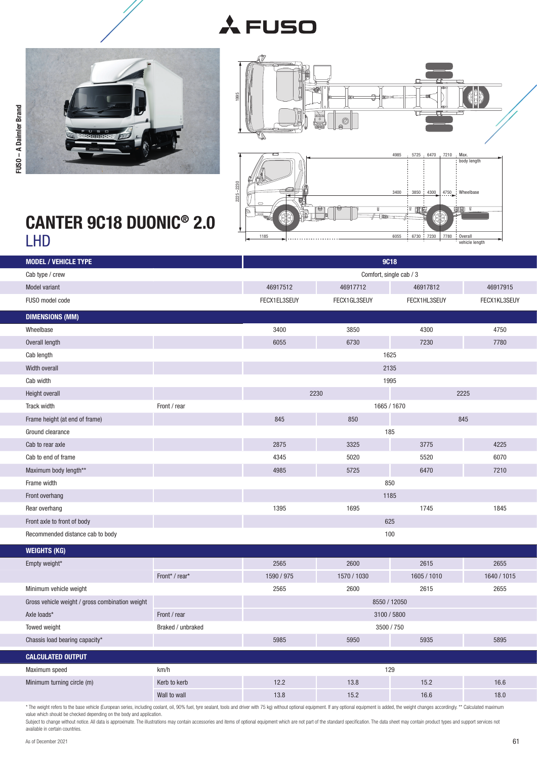



FUSO – A Daimler Brand



## CANTER 9C18 DUONIC® 2.0

| Comfort, single cab / 3<br>Cab type / crew<br>46917512<br>46917712<br>46917812<br>46917915<br>Model variant<br>FUSO model code<br>FECX1EL3SEUY<br>FECX1GL3SEUY<br>FECX1HL3SEUY<br>FECX1KL3SEUY<br><b>DIMENSIONS (MM)</b><br>3400<br>3850<br>4300<br>4750<br>Wheelbase<br>6055<br>6730<br>7230<br>7780<br>Overall length<br>1625<br>Cab length<br>2135<br>Width overall<br>Cab width<br>1995<br>2230<br>2225<br>Height overall<br>1665 / 1670<br>Track width<br>Front / rear<br>845<br>845<br>Frame height (at end of frame)<br>850<br>Ground clearance<br>185<br>3325<br>4225<br>2875<br>3775<br>Cab to rear axle<br>4345<br>5020<br>5520<br>6070<br>Cab to end of frame<br>Maximum body length**<br>4985<br>5725<br>6470<br>7210<br>Frame width<br>850<br>1185<br>Front overhang<br>1745<br>Rear overhang<br>1395<br>1695<br>1845<br>625<br>Front axle to front of body<br>100<br>Recommended distance cab to body<br><b>WEIGHTS (KG)</b><br>2600<br>2565<br>2615<br>2655<br>Empty weight*<br>1590 / 975<br>1570 / 1030<br>1605 / 1010<br>1640 / 1015<br>Front* / rear*<br>Minimum vehicle weight<br>2565<br>2600<br>2615<br>2655<br>8550 / 12050<br>Gross vehicle weight / gross combination weight<br>Axle loads*<br>Front / rear<br>3100 / 5800<br>3500 / 750<br>Towed weight<br>Braked / unbraked<br>5985<br>5950<br>5935<br>5895<br>Chassis load bearing capacity*<br><b>CALCULATED OUTPUT</b><br>km/h<br>129<br>Maximum speed<br>Minimum turning circle (m)<br>Kerb to kerb<br>12.2<br>13.8<br>15.2<br>16.6 | <b>MODEL / VEHICLE TYPE</b> |  | <b>9C18</b> |  |  |
|--------------------------------------------------------------------------------------------------------------------------------------------------------------------------------------------------------------------------------------------------------------------------------------------------------------------------------------------------------------------------------------------------------------------------------------------------------------------------------------------------------------------------------------------------------------------------------------------------------------------------------------------------------------------------------------------------------------------------------------------------------------------------------------------------------------------------------------------------------------------------------------------------------------------------------------------------------------------------------------------------------------------------------------------------------------------------------------------------------------------------------------------------------------------------------------------------------------------------------------------------------------------------------------------------------------------------------------------------------------------------------------------------------------------------------------------------------------------------------------------------------------------|-----------------------------|--|-------------|--|--|
|                                                                                                                                                                                                                                                                                                                                                                                                                                                                                                                                                                                                                                                                                                                                                                                                                                                                                                                                                                                                                                                                                                                                                                                                                                                                                                                                                                                                                                                                                                                    |                             |  |             |  |  |
|                                                                                                                                                                                                                                                                                                                                                                                                                                                                                                                                                                                                                                                                                                                                                                                                                                                                                                                                                                                                                                                                                                                                                                                                                                                                                                                                                                                                                                                                                                                    |                             |  |             |  |  |
|                                                                                                                                                                                                                                                                                                                                                                                                                                                                                                                                                                                                                                                                                                                                                                                                                                                                                                                                                                                                                                                                                                                                                                                                                                                                                                                                                                                                                                                                                                                    |                             |  |             |  |  |
|                                                                                                                                                                                                                                                                                                                                                                                                                                                                                                                                                                                                                                                                                                                                                                                                                                                                                                                                                                                                                                                                                                                                                                                                                                                                                                                                                                                                                                                                                                                    |                             |  |             |  |  |
|                                                                                                                                                                                                                                                                                                                                                                                                                                                                                                                                                                                                                                                                                                                                                                                                                                                                                                                                                                                                                                                                                                                                                                                                                                                                                                                                                                                                                                                                                                                    |                             |  |             |  |  |
|                                                                                                                                                                                                                                                                                                                                                                                                                                                                                                                                                                                                                                                                                                                                                                                                                                                                                                                                                                                                                                                                                                                                                                                                                                                                                                                                                                                                                                                                                                                    |                             |  |             |  |  |
|                                                                                                                                                                                                                                                                                                                                                                                                                                                                                                                                                                                                                                                                                                                                                                                                                                                                                                                                                                                                                                                                                                                                                                                                                                                                                                                                                                                                                                                                                                                    |                             |  |             |  |  |
|                                                                                                                                                                                                                                                                                                                                                                                                                                                                                                                                                                                                                                                                                                                                                                                                                                                                                                                                                                                                                                                                                                                                                                                                                                                                                                                                                                                                                                                                                                                    |                             |  |             |  |  |
|                                                                                                                                                                                                                                                                                                                                                                                                                                                                                                                                                                                                                                                                                                                                                                                                                                                                                                                                                                                                                                                                                                                                                                                                                                                                                                                                                                                                                                                                                                                    |                             |  |             |  |  |
|                                                                                                                                                                                                                                                                                                                                                                                                                                                                                                                                                                                                                                                                                                                                                                                                                                                                                                                                                                                                                                                                                                                                                                                                                                                                                                                                                                                                                                                                                                                    |                             |  |             |  |  |
|                                                                                                                                                                                                                                                                                                                                                                                                                                                                                                                                                                                                                                                                                                                                                                                                                                                                                                                                                                                                                                                                                                                                                                                                                                                                                                                                                                                                                                                                                                                    |                             |  |             |  |  |
|                                                                                                                                                                                                                                                                                                                                                                                                                                                                                                                                                                                                                                                                                                                                                                                                                                                                                                                                                                                                                                                                                                                                                                                                                                                                                                                                                                                                                                                                                                                    |                             |  |             |  |  |
|                                                                                                                                                                                                                                                                                                                                                                                                                                                                                                                                                                                                                                                                                                                                                                                                                                                                                                                                                                                                                                                                                                                                                                                                                                                                                                                                                                                                                                                                                                                    |                             |  |             |  |  |
|                                                                                                                                                                                                                                                                                                                                                                                                                                                                                                                                                                                                                                                                                                                                                                                                                                                                                                                                                                                                                                                                                                                                                                                                                                                                                                                                                                                                                                                                                                                    |                             |  |             |  |  |
|                                                                                                                                                                                                                                                                                                                                                                                                                                                                                                                                                                                                                                                                                                                                                                                                                                                                                                                                                                                                                                                                                                                                                                                                                                                                                                                                                                                                                                                                                                                    |                             |  |             |  |  |
|                                                                                                                                                                                                                                                                                                                                                                                                                                                                                                                                                                                                                                                                                                                                                                                                                                                                                                                                                                                                                                                                                                                                                                                                                                                                                                                                                                                                                                                                                                                    |                             |  |             |  |  |
|                                                                                                                                                                                                                                                                                                                                                                                                                                                                                                                                                                                                                                                                                                                                                                                                                                                                                                                                                                                                                                                                                                                                                                                                                                                                                                                                                                                                                                                                                                                    |                             |  |             |  |  |
|                                                                                                                                                                                                                                                                                                                                                                                                                                                                                                                                                                                                                                                                                                                                                                                                                                                                                                                                                                                                                                                                                                                                                                                                                                                                                                                                                                                                                                                                                                                    |                             |  |             |  |  |
|                                                                                                                                                                                                                                                                                                                                                                                                                                                                                                                                                                                                                                                                                                                                                                                                                                                                                                                                                                                                                                                                                                                                                                                                                                                                                                                                                                                                                                                                                                                    |                             |  |             |  |  |
|                                                                                                                                                                                                                                                                                                                                                                                                                                                                                                                                                                                                                                                                                                                                                                                                                                                                                                                                                                                                                                                                                                                                                                                                                                                                                                                                                                                                                                                                                                                    |                             |  |             |  |  |
|                                                                                                                                                                                                                                                                                                                                                                                                                                                                                                                                                                                                                                                                                                                                                                                                                                                                                                                                                                                                                                                                                                                                                                                                                                                                                                                                                                                                                                                                                                                    |                             |  |             |  |  |
|                                                                                                                                                                                                                                                                                                                                                                                                                                                                                                                                                                                                                                                                                                                                                                                                                                                                                                                                                                                                                                                                                                                                                                                                                                                                                                                                                                                                                                                                                                                    |                             |  |             |  |  |
|                                                                                                                                                                                                                                                                                                                                                                                                                                                                                                                                                                                                                                                                                                                                                                                                                                                                                                                                                                                                                                                                                                                                                                                                                                                                                                                                                                                                                                                                                                                    |                             |  |             |  |  |
|                                                                                                                                                                                                                                                                                                                                                                                                                                                                                                                                                                                                                                                                                                                                                                                                                                                                                                                                                                                                                                                                                                                                                                                                                                                                                                                                                                                                                                                                                                                    |                             |  |             |  |  |
|                                                                                                                                                                                                                                                                                                                                                                                                                                                                                                                                                                                                                                                                                                                                                                                                                                                                                                                                                                                                                                                                                                                                                                                                                                                                                                                                                                                                                                                                                                                    |                             |  |             |  |  |
|                                                                                                                                                                                                                                                                                                                                                                                                                                                                                                                                                                                                                                                                                                                                                                                                                                                                                                                                                                                                                                                                                                                                                                                                                                                                                                                                                                                                                                                                                                                    |                             |  |             |  |  |
|                                                                                                                                                                                                                                                                                                                                                                                                                                                                                                                                                                                                                                                                                                                                                                                                                                                                                                                                                                                                                                                                                                                                                                                                                                                                                                                                                                                                                                                                                                                    |                             |  |             |  |  |
|                                                                                                                                                                                                                                                                                                                                                                                                                                                                                                                                                                                                                                                                                                                                                                                                                                                                                                                                                                                                                                                                                                                                                                                                                                                                                                                                                                                                                                                                                                                    |                             |  |             |  |  |
|                                                                                                                                                                                                                                                                                                                                                                                                                                                                                                                                                                                                                                                                                                                                                                                                                                                                                                                                                                                                                                                                                                                                                                                                                                                                                                                                                                                                                                                                                                                    |                             |  |             |  |  |
|                                                                                                                                                                                                                                                                                                                                                                                                                                                                                                                                                                                                                                                                                                                                                                                                                                                                                                                                                                                                                                                                                                                                                                                                                                                                                                                                                                                                                                                                                                                    |                             |  |             |  |  |
|                                                                                                                                                                                                                                                                                                                                                                                                                                                                                                                                                                                                                                                                                                                                                                                                                                                                                                                                                                                                                                                                                                                                                                                                                                                                                                                                                                                                                                                                                                                    |                             |  |             |  |  |
|                                                                                                                                                                                                                                                                                                                                                                                                                                                                                                                                                                                                                                                                                                                                                                                                                                                                                                                                                                                                                                                                                                                                                                                                                                                                                                                                                                                                                                                                                                                    |                             |  |             |  |  |
| Wall to wall<br>13.8<br>15.2<br>16.6<br>18.0                                                                                                                                                                                                                                                                                                                                                                                                                                                                                                                                                                                                                                                                                                                                                                                                                                                                                                                                                                                                                                                                                                                                                                                                                                                                                                                                                                                                                                                                       |                             |  |             |  |  |

\* The weight refers to the base vehicle (European series, including coolant, oil, 90% fuel, tyre sealant, tools and driver with 75 kg) without optional equipment. If any optional equipment is added, the weight changes acco

available in certain countries.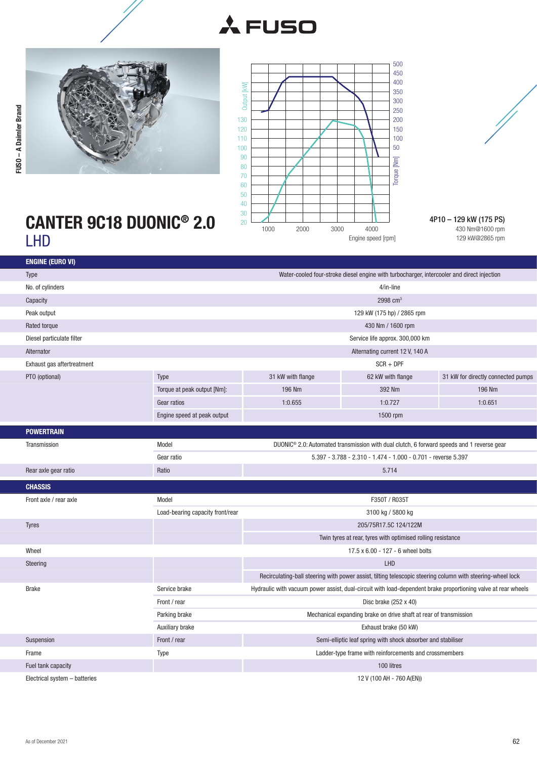![](_page_1_Picture_0.jpeg)

![](_page_1_Picture_1.jpeg)

![](_page_1_Picture_2.jpeg)

![](_page_1_Figure_3.jpeg)

4P10 – 129 kW (175 PS) 430 Nm@1600 rpm 129 kW@2865 rpm

## CANTER 9C18 DUONIC® 2.0 LHD

| <b>ENGINE (EURO VI)</b>       |                                                                                            |                                                                                                                                                                        |                                                                                                            |                                    |  |
|-------------------------------|--------------------------------------------------------------------------------------------|------------------------------------------------------------------------------------------------------------------------------------------------------------------------|------------------------------------------------------------------------------------------------------------|------------------------------------|--|
| <b>Type</b>                   | Water-cooled four-stroke diesel engine with turbocharger, intercooler and direct injection |                                                                                                                                                                        |                                                                                                            |                                    |  |
| No. of cylinders              |                                                                                            | 4/in-line                                                                                                                                                              |                                                                                                            |                                    |  |
| Capacity                      | 2998 $cm3$                                                                                 |                                                                                                                                                                        |                                                                                                            |                                    |  |
| Peak output                   |                                                                                            |                                                                                                                                                                        | 129 kW (175 hp) / 2865 rpm                                                                                 |                                    |  |
| Rated torque                  |                                                                                            |                                                                                                                                                                        | 430 Nm / 1600 rpm                                                                                          |                                    |  |
| Diesel particulate filter     |                                                                                            |                                                                                                                                                                        | Service life approx. 300,000 km                                                                            |                                    |  |
| Alternator                    |                                                                                            |                                                                                                                                                                        | Alternating current 12 V, 140 A                                                                            |                                    |  |
| Exhaust gas aftertreatment    |                                                                                            |                                                                                                                                                                        | $SCR + DPF$                                                                                                |                                    |  |
| PTO (optional)                | Type                                                                                       | 31 kW with flange                                                                                                                                                      | 62 kW with flange                                                                                          | 31 kW for directly connected pumps |  |
|                               | Torque at peak output [Nm]:                                                                | 196 Nm                                                                                                                                                                 | 392 Nm                                                                                                     | 196 Nm                             |  |
|                               | Gear ratios                                                                                | 1:0.655                                                                                                                                                                | 1:0.727                                                                                                    | 1:0.651                            |  |
|                               |                                                                                            |                                                                                                                                                                        |                                                                                                            |                                    |  |
|                               | Engine speed at peak output                                                                |                                                                                                                                                                        | 1500 rpm                                                                                                   |                                    |  |
| <b>POWERTRAIN</b>             |                                                                                            |                                                                                                                                                                        |                                                                                                            |                                    |  |
| Transmission                  | Model                                                                                      | DUONIC <sup>®</sup> 2.0: Automated transmission with dual clutch, 6 forward speeds and 1 reverse gear<br>5.397 - 3.788 - 2.310 - 1.474 - 1.000 - 0.701 - reverse 5.397 |                                                                                                            |                                    |  |
|                               | Gear ratio                                                                                 |                                                                                                                                                                        |                                                                                                            |                                    |  |
| Rear axle gear ratio          | Ratio                                                                                      | 5.714                                                                                                                                                                  |                                                                                                            |                                    |  |
| <b>CHASSIS</b>                |                                                                                            |                                                                                                                                                                        |                                                                                                            |                                    |  |
| Front axle / rear axle        | Model                                                                                      | F350T / R035T                                                                                                                                                          |                                                                                                            |                                    |  |
|                               | Load-bearing capacity front/rear                                                           |                                                                                                                                                                        |                                                                                                            |                                    |  |
| <b>Tyres</b>                  |                                                                                            | 205/75R17.5C 124/122M                                                                                                                                                  |                                                                                                            |                                    |  |
|                               |                                                                                            | Twin tyres at rear, tyres with optimised rolling resistance                                                                                                            |                                                                                                            |                                    |  |
| Wheel                         |                                                                                            | 17.5 x 6.00 - 127 - 6 wheel bolts                                                                                                                                      |                                                                                                            |                                    |  |
| Steering                      |                                                                                            | LHD                                                                                                                                                                    |                                                                                                            |                                    |  |
|                               |                                                                                            |                                                                                                                                                                        | Recirculating-ball steering with power assist, tilting telescopic steering column with steering-wheel lock |                                    |  |
| <b>Brake</b>                  | Service brake                                                                              | Hydraulic with vacuum power assist, dual-circuit with load-dependent brake proportioning valve at rear wheels                                                          |                                                                                                            |                                    |  |
|                               | Front / rear                                                                               | Disc brake $(252 \times 40)$                                                                                                                                           |                                                                                                            |                                    |  |
|                               | Parking brake                                                                              | Mechanical expanding brake on drive shaft at rear of transmission                                                                                                      |                                                                                                            |                                    |  |
|                               | Auxiliary brake                                                                            | Exhaust brake (50 kW)                                                                                                                                                  |                                                                                                            |                                    |  |
| Suspension                    | Front / rear                                                                               | Semi-elliptic leaf spring with shock absorber and stabiliser                                                                                                           |                                                                                                            |                                    |  |
| Frame                         | Type                                                                                       | Ladder-type frame with reinforcements and crossmembers                                                                                                                 |                                                                                                            |                                    |  |
| Fuel tank capacity            |                                                                                            | 100 litres                                                                                                                                                             |                                                                                                            |                                    |  |
| Electrical system - batteries |                                                                                            | 12 V (100 AH - 760 A(EN))                                                                                                                                              |                                                                                                            |                                    |  |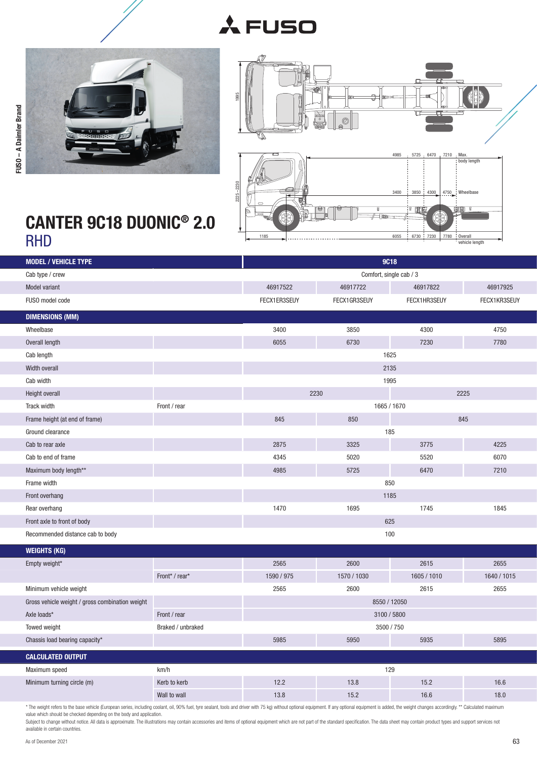![](_page_2_Picture_0.jpeg)

![](_page_2_Picture_1.jpeg)

FUSO – A Daimler Brand

FUSO - A Daimler Brand

![](_page_2_Figure_2.jpeg)

## CANTER 9C18 DUONIC<sup>®</sup> 2.0<br>RHD

| <b>MODEL / VEHICLE TYPE</b>                     |                   |                         | <b>9C18</b>  |              |              |
|-------------------------------------------------|-------------------|-------------------------|--------------|--------------|--------------|
| Cab type / crew                                 |                   | Comfort, single cab / 3 |              |              |              |
| Model variant                                   |                   | 46917522                | 46917722     | 46917822     | 46917925     |
| FUSO model code                                 |                   | FECX1ER3SEUY            | FECX1GR3SEUY | FECX1HR3SEUY | FECX1KR3SEUY |
| <b>DIMENSIONS (MM)</b>                          |                   |                         |              |              |              |
| Wheelbase                                       |                   | 3400                    | 3850         | 4300         | 4750         |
| Overall length                                  |                   | 6055                    | 6730         | 7230         | 7780         |
| Cab length                                      |                   |                         | 1625         |              |              |
| Width overall                                   |                   |                         | 2135         |              |              |
| Cab width                                       |                   |                         | 1995         |              |              |
| <b>Height overall</b>                           |                   |                         | 2230         |              | 2225         |
| Track width                                     | Front / rear      |                         | 1665 / 1670  |              |              |
| Frame height (at end of frame)                  |                   | 845                     | 850          |              | 845          |
| Ground clearance                                |                   |                         | 185          |              |              |
| Cab to rear axle                                |                   | 2875                    | 3325         | 3775         | 4225         |
| Cab to end of frame                             |                   | 4345                    | 5020         | 5520         | 6070         |
| Maximum body length**                           |                   | 4985                    | 5725         | 6470         | 7210         |
| Frame width                                     |                   | 850                     |              |              |              |
| Front overhang                                  |                   | 1185                    |              |              |              |
| Rear overhang                                   |                   | 1470                    | 1695         | 1745         | 1845         |
| Front axle to front of body                     |                   | 625                     |              |              |              |
| Recommended distance cab to body                |                   | 100                     |              |              |              |
| <b>WEIGHTS (KG)</b>                             |                   |                         |              |              |              |
| Empty weight*                                   |                   | 2565                    | 2600         | 2615         | 2655         |
|                                                 | Front* / rear*    | 1590 / 975              | 1570 / 1030  | 1605 / 1010  | 1640 / 1015  |
| Minimum vehicle weight                          |                   | 2565                    | 2600         | 2615         | 2655         |
| Gross vehicle weight / gross combination weight |                   | 8550 / 12050            |              |              |              |
| Axle loads*                                     | Front / rear      | 3100 / 5800             |              |              |              |
| Towed weight                                    | Braked / unbraked | 3500 / 750              |              |              |              |
| Chassis load bearing capacity*                  |                   | 5985                    | 5950         | 5935         | 5895         |
| <b>CALCULATED OUTPUT</b>                        |                   |                         |              |              |              |
| Maximum speed                                   | km/h              | 129                     |              |              |              |
| Minimum turning circle (m)                      | Kerb to kerb      | 12.2                    | 13.8         | 15.2         | 16.6         |
|                                                 | Wall to wall      | 13.8                    | 15.2         | 16.6         | 18.0         |

\* The weight refers to the base vehicle (European series, including coolant, oil, 90% fuel, tyre sealant, tools and driver with 75 kg) without optional equipment. If any optional equipment is added, the weight changes acco

available in certain countries.